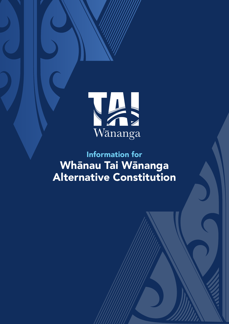

# Information for Whānau Tai Wānanga Alternative Constitution

INFORMATION FOR WHĀNAU TAI WĀNANGA ALTERNATIVE CONSTITUTION **1**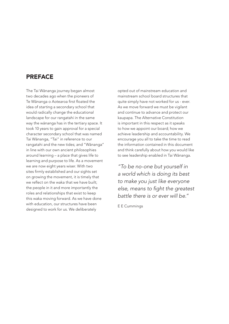## PREFACE

The Tai Wānanga journey began almost two decades ago when the pioneers of Te Wānanga o Aotearoa first floated the idea of starting a secondary school that would radically change the educational landscape for our rangatahi in the same way the wānanga has in the tertiary space. It took 10 years to gain approval for a special character secondary school that was named Tai Wānanga, "Tai" in reference to our rangatahi and the new tides; and "Wānanga" in line with our own ancient philosophies around learning – a place that gives life to learning and purpose to life. As a movement we are now eight years wiser. With two sites firmly established and our sights set on growing the movement, it is timely that we reflect on the waka that we have built; the people in it and more importantly the roles and relationships that exist to keep this waka moving forward. As we have done with education, our structures have been designed to work for us. We deliberately

opted out of mainstream education and mainstream school board structures that quite simply have not worked for us - ever. As we move forward we must be vigilant and continue to advance and protect our kaupapa. The Alternative Constitution is important in this respect as it speaks to how we appoint our board; how we achieve leadership and accountability. We encourage you all to take the time to read the information contained in this document and think carefully about how you would like to see leadership enabled in Tai Wānanga.

*"To be no-one but yourself in a world which is doing its best to make you just like everyone*  else, means to fight the greatest *battle there is or ever will be."*

E E Cummings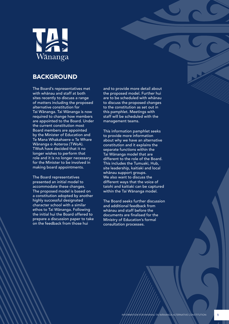

## BACKGROUND

The Board's representatives met with whānau and staff at both sites recently to discuss a range of matters including the proposed alternative constitution for Tai Wānanga. Tai Wānanga is now required to change how members are appointed to the Board. Under the current constitution most Board members are appointed by the Minister of Education and Te Mana Whakahaere o Te Whare Wānanga o Aoteroa (TWoA). TWoA have decided that it no longer wishes to perform that role and it is no longer necessary for the Minister to be involved in making board appointments.

The Board representatives presented an initial model to accommodate these changes. The proposed model is based on a constitution adopted by another highly successful designated character school with a similar ethos to Tai Wānanga. Following the initial hui the Board offered to prepare a discussion paper to take on the feedback from those hui

and to provide more detail about the proposed model. Further hui are to be scheduled with whānau to discuss the proposed changes to the constitution as set out in this pamphlet. Meetings with staff will be scheduled with the management teams.

This information pamphlet seeks to provide more information about why we have an alternative constitution and it explains the separate functions within the Tai Wānanga model that are different to the role of the Board. This includes the Tumuaki, Hub, site leadership, kaitiaki and local whānau support groups. We also want to discuss the different ways that the voice of taiohi and kaitiaki can be captured within the Tai Wānanga model.

The Board seeks further discussion and additional feedback from whānau and staff before the documents are finalised for the Ministry of Education's formal consultation processes.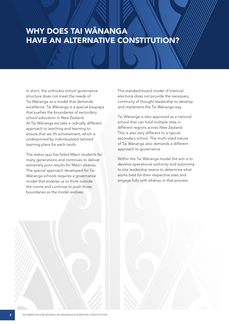## WHY DOES TAI WĀNANGA HAVE AN ALTERNATIVE CONSTITUTION?

In short, the orthodox school governance structure does not meet the needs of Tai Wānanga as a model that demands excellence. Tai Wānanga is a special kaupapa that pushes the boundaries of secondary school education in New Zealand. At Tai Wānanga we take a radically different approach to teaching and learning to ensure that we lift achievement, which is underpinned by individualised tailored learning plans for each taiohi.

The status quo has failed Māori students for many generations and continues to deliver extremely poor results for Māori whānau. The special approach developed for Tai Wānanga schools requires a governance model that enables us to think outside the norms and continue to push those boundaries as the model evolves.

The standard board model of triennial elections does not provide the necessary continuity of thought leadership to develop and implement the Tai Wānanga way.

Tai Wānanga is also approved as a national school that can hold multiple sites in different regions across New Zealand. This is also very different to a typical secondary school. The multi-sited nature of Tai Wānanga also demands a different approach to governance.

Within the Tai Wānanga model the aim is to devolve operational authority and autonomy to site leadership teams to determine what works best for their respective sites and engage fully with whānau in that process.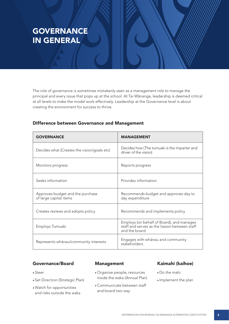## **GOVERNANCE** IN GENERAL

The role of governance is sometimes mistakenly seen as a management role to manage the principal and every issue that pops up at the school. At Tai Wānanga, leadership is deemed critical at all levels to make the model work effectively. Leadership at the Governance level is about creating the environment for success to thrive.

| <b>GOVERNANCE</b>                                          | <b>MANAGEMENT</b>                                                                                            |
|------------------------------------------------------------|--------------------------------------------------------------------------------------------------------------|
| Decides what (Creates the vision/goals etc)                | Decides how (The tumuaki is the imparter and<br>driver of the vision)                                        |
| Monitors progress                                          | Reports progress                                                                                             |
| Seeks information                                          | Provides information                                                                                         |
| Approves budget and the purchase<br>of large capital items | Recommends budget and approves day to<br>day expenditure                                                     |
| Creates reviews and adopts policy                          | Recommends and implements policy                                                                             |
| Employs Tumuaki                                            | Employs (on behalf of Board), and manages<br>staff and serves as the liaison between staff<br>and the board. |
| Represents whānau/community interests                      | Engages with whanau and community<br>stakeholders                                                            |

### Difference between Governance and Management

### Governance/Board

- Steer
- Set Direction (Strategic Plan)
- Watch for opportunities and risks outside the waka

#### Management

- Organise people, resources inside the waka (Annual Plan)
- Communicate between staff and board two way

## Kaimahi (kaihoe)

- Do the mahi
- •Implement the plan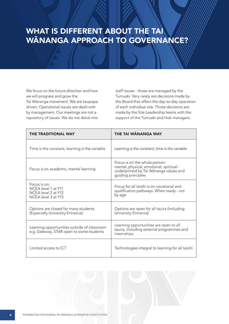## WHAT IS DIFFERENT ABOUT THE TAI WĀNANGA APPROACH TO GOVERNANCE?

We focus on the future direction and how we will progress and grow the Tai Wānanga movement. We are kaupapa driven. Operational issues are dealt with by management. Our meetings are not a repository of issues. We do not delve into

staff issues - those are managed by the Tumuaki. Very rarely are decisions made by the Board that affect the day-to-day operation of each individual site. Those decisions are made by the Site Leadership teams with the support of the Tumuaki and Hub managers.

| <b>THE TRADITIONAL WAY</b>                                                              | <b>THE TAI WANANGA WAY</b>                                                                                                               |
|-----------------------------------------------------------------------------------------|------------------------------------------------------------------------------------------------------------------------------------------|
| Time is the constant, learning is the variable                                          | Learning is the constant, time is the variable                                                                                           |
| Focus is on academic, mental learning                                                   | Focus is on the whole person:<br>mental, physical, emotional, spiritual -<br>underpinned by Tai Wānanga values and<br>guiding principles |
| Focus is on:<br>NCEA level 1 at Y11<br>NCEA level 2 at Y12<br>NCFA level 3 at Y13       | Focus for all taiohi is on vocational and<br>qualification pathways. When ready - not<br>by age                                          |
| Options are closed for many students<br>(Especially University Entrance)                | Options are open for all tauira (including<br>University Entrance)                                                                       |
| Learning opportunities outside of classroom<br>e.g. Gateway, STAR open to some students | Learning opportunities are open to all<br>tauira, including external programmes and<br>internships                                       |
| Limited access to ICT                                                                   | Technologies integral to learning for all taiohi                                                                                         |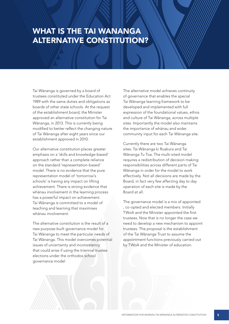## WHAT IS THE TAI WANANGA ALTERNATIVE CONSTITUTION?

Tai Wānanga is governed by a board of trustees constituted under the Education Act 1989 with the same duties and obligations as boards of other state schools. At the request of the establishment board, the Minister approved an alternative constitution for Tai Wānanga, in 2013. This is currently being modified to better reflect the changing nature of Tai Wānanga after eight years since our establishment approved in 2010.

Our alternative constitution places greater emphasis on a 'skills and knowledge-based' approach rather than a complete reliance on the standard 'representation-based' model. There is no evidence that the pure representation model of 'tomorrow's schools' is having any impact on lifting achievement. There is strong evidence that whānau involvement in the learning process has a powerful impact on achievement. Tai Wānanga is committed to a model of teaching and learning that maximises whānau involvement.

The alternative constitution is the result of a new purpose-built governance model for Tai Wānanga to meet the particular needs of Tai Wānanga. This model overcomes potential issues of uncertainty and inconsistency that could arise if using the triennial trustee elections under the orthodox school governance model

The alternative model achieves continuity of governance that enables the special Tai Wānanga learning framework to be developed and implemented with full expression of the foundational values, ethos and culture of Tai Wānanga, across multiple sites. Importantly the model also maintains the importance of whānau and wider community input for each Tai Wānanga site.

Currently there are two Tai Wānanga sites: Tai Wānanga ki Ruakura and Tai Wānanga Tu Toa. The multi-sited model requires a redistribution of decision making responsibilities across different parts of Tai Wānanga in order for the model to work effectively. Not all decisions are made by the Board, in fact very few affecting day to day operation of each site is made by the Board at all.

The governance model is a mix of appointed , co-opted and elected members. Initially TWoA and the Minister appointed the first trustees. Now that is no longer the case we need to develop a new mechanism to appoint trustees. The proposal is the establishment of the Tai Wānanga Trust to assume the appointment functions previously carried out by TWoA and the Minister of education.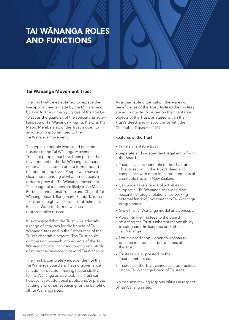## TAI WĀNANGA ROLES AND FUNCTIONS

#### Tai Wānanga Movement Trust

The Trust will be established to replace the five appointments made by the Minister and by TWoA. The primary purpose of the Trust is to act as the guardian of the special character/ kaupapa of Tai Wānanga – Kia Tu, Kia Ora, Kia Māori. Membership of the Trust is open to anyone who is committed to the Tai Wānanga movement.

The types of people who could become trustees of the Tai Wānanga Movement Trust are people that have been part of the development of the Tai Wānanga kaupapa, either at its inception or as a former board member or employee. People who have a clear understanding of what is necessary in order to grow the Tai Wānanga movement. The inaugural trustees are likely to be Mana Forbes, foundational Trustee and Chair of Tai Wānanga Board, Rangimarie Parata-Takurua – trustee of eight years from establishment, Rachael Wetere – former whānau representative trustee.

It is envisaged that the Trust will undertake a range of activities for the benefit of Tai Wānanga sites and in the furtherance of the Trust's charitable objects. The Trust could commission research into aspects of the Tai Wānanga model including longitudinal study of student achievement beyond Tai Wānanga

The Trust is completely independent of the Tai Wānanga Board and has no governance function or decision making responsibility for Tai Wānanga as a school. The Trust can however seek additional public and/or private funding and other resourcing for the benefit of all Tai Wānanga sites.

As a charitable organisation there are no beneficiaries of the Trust. Instead the trustees are accountable to deliver on the charitable objects of the Trust, as stated within the Trust's deed, and in accordance with the Charitable Trusts Act 1957.

#### Features of the Trust:

- Private charitable trust.
- Separate and independent legal entity from the Board.
- Trustees are accountable to the charitable objects set out in the Trust's deed and compliance with other legal requirements of charitable trusts in New Zealand.
- Can undertake a range of activities to support all Tai Wānanga sites including research, strategic relationships seeking external funding/investment in Tai Wānanga programmes.
- Grow the Tai Wānanga model as a concept.
- Appoints five Trustees to the Board reflecting the Trust's inherent responsibility to safeguard the kaupapa and ethos of Tai Wānanga.
- Not a closed shop open to whānau to become members and/or trustees of the Trust.
- Trustees are appointed by the Trust membership.
- Trustees of the Trust cannot also be trustees on the Tai Wānanga Board of Trustees.

No decision making responsibilities in respect of Tai Wānanga sites.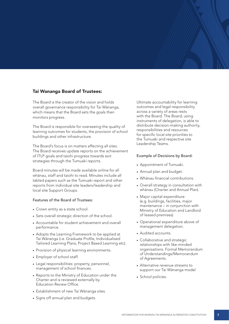## Tai Wananga Board of Trustees:

The Board is the creator of the vision and holds overall governance responsibility for Tai Wānanga, which means that the Board sets the goals then monitors progress.

The Board is responsible for overseeing the quality of learning outcomes for students, the provision of school buildings and other infrastructure.

The Board's focus is on matters affecting all sites. The Board receives update reports on the achievement of ITLP goals and taiohi progress towards exit strategies through the Tumuaki reports.

Board minutes will be made available online for all whānau, staff and taiohi to read. Minutes include all tabled papers such as the Tumuaki report and other reports from individual site leaders/leadership and local site Support Groups.

#### Features of the Board of Trustees:

- Crown entity as a state school.
- Sets overall strategic direction of the school.
- Accountable for student achievement and overall performance.
- Adopts the Learning Framework to be applied at Tai Wānanga (i.e. Graduate Profile, Individualised Tailored Learning Plans, Project Based Learning etc).
- Provision of physical learning environments.
- Employer of school staff.
- Legal responsibilities: property, personnel, management of school finances.
- Reports to the Ministry of Education under the Charter and is reviewed externally by Education Review Office.
- Establishment of new Tai Wānanga sites.
- Signs off annual plan and budgets.

Ultimate accountability for learning outcomes and legal responsibility across a variety of areas rests with the Board. The Board, using instruments of delegation, is able to distribute decision-making authority, responsibilities and resources for specific local site priorities to the Tumuaki and respective site Leadership Teams.

#### Example of Decisions by Board:

- Appointment of Tumuaki.
- Annual plan and budget.
- Whānau financial contributions.
- Overall strategy in consultation with whānau (Charter and Annual Plan).
- Major capital expenditure (e.g. buildings, facilities, major maintenance – in conjunction with Ministry of Education and Landlord of leased premises)
- Operational expenditure above of management delegation.
- Audited accounts.
- Collaborative and strategic relationships with like-minded organisations. Formal Memorandum of Understandings/Memorandum of Agreements.
- Alternative revenue streams to support our Tai Wānanga model
- School policies.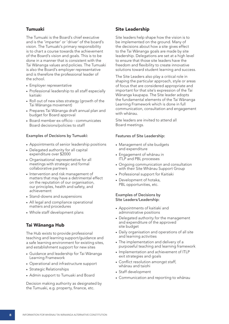### Tumuaki

The Tumuaki is the Board's chief executive and is the 'imparter' or 'driver' of the board's vision. The Tumuaki's primary responsibility is to chart a course towards the achievement of the Board's vision and goals. This is to be done in a manner that is consistent with the Tai Wānanga values and policies. The Tumuaki is also the Board's employer representative and is therefore the professional leader of the school.

- Employer representative
- Professional leadership to all staff especially kaitiaki
- Roll out of new sites strategy (growth of the Tai Wānanga movement)
- Prepares Tai Wānanga draft annual plan and budget for Board approval
- Board member ex-officio communicates Board decisions/policies to staff

#### Examples of Decisions by Tumuaki:

- Appointments of senior leadership positions
- Delegated authority for all capital expenditure over \$2000
- Organisational representative for all meetings with strategic and formal collaborative partners
- Intervention and risk management of matters that may have a detrimental effect on the reputation of our organisation, our principles, health and safety, and achievement
- Stand-downs and suspensions
- All legal and compliance operational matters and procedures
- Whole staff development plans

## Tai Wānanga Hub

The Hub exists to provide professional teaching and learning support/guidance and a safe learning environment for existing sites, and establishment support for new sites

- Guidance and leadership for Tai Wānanga Learning Framework
- Operational and infrastructure support
- Strategic Relationships
- Admin support to Tumuaki and Board

Decision making authority as designated by the Tumuaki, e.g. property, finance, etc.

## Site Leadership

Site leaders help shape how the vision is to be implemented on the ground. Many of the decisions about how a site gives effect to the Tai Wānanga goals are made by site leadership. Delegations are set at a high level to ensure that those site leaders have the freedom and flexibility to create innovative solutions toward student learning and success.

The Site Leaders also play a critical role in shaping the particular approach, style or areas of focus that are considered appropriate and important for that site's expression of the Tai Wānanga kaupapa. The Site leader adopts the fundamental elements of the Tai Wānanga Learning Framework which is done in full communication, consultation and engagement with whānau.

Site leaders are invited to attend all Board meetings.

#### Features of Site Leadership:

- Management of site budgets and expenditure
- Engagement of whānau in ITLP and PBL processes
- Ongoing communication and consultation with their Site Whānau Support Group
- Professional support for Kaitiaki
- Development of hotaka, PBL opportunities, etc.

#### Examples of Decisions by Site Leaders/Leadership:

- Appointments of kaitiaki and administrative positions
- Delegated authority for the management and expenditure of the approved site budget
- Daily organisation and operations of all site and learning activities
- The implementation and delivery of a purposeful teaching and learning framework
- Implementation and achievement of ITLP exit strategies and goals
- Conflict resolution amongst staff, whānau and taiohi
- Staff development
- Communication and reporting to whānau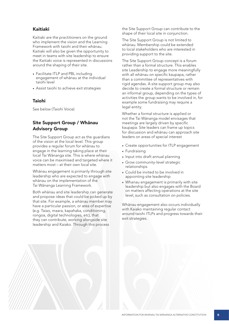## Kaitiaki

Kaitiaki are the practitioners on the ground who implement the vision and the Learning Framework with taiohi and their whānau. Kaitiaki will also be given the opportunity to meet in teams with site leadership to ensure the Kaitiaki voice is represented in discussions around the shaping of their site.

- Facilitate ITLP and PBL including engagement of whānau at the individual taiohi level
- Assist taiohi to achieve exit strategies

#### Taiohi

See below (Taiohi Voice)

## Site Support Group / Whānau Advisory Group

The Site Support Group act as the guardians of the vision at the local level. This group provides a regular forum for whānau to engage in the learning taking place at their local Tai Wānanga site. This is where whānau voice can be maximised and targeted where it matters most – at their own local site.

Whānau engagement is primarily through site leadership who are expected to engage with whānau on the implementation of the Tai Wānanga Learning Framework.

Both whānau and site leadership can generate and propose ideas that could be picked up by that site. For example, a whānau member may have a particular passion, or area of expertise (e.g. Taiao, maara, kapahaka, conditioning, rongoa, digital technologies, etc), that they can contribute, working alongside site leadership and Kaiako. Through this process

the Site Support Group can contribute to the shape of their local site in conjunction.

The Site Support Group is not limited to whānau. Membership could be extended to local stakeholders who are interested in providing support to the site.

The Site Support Group concept is a forum rather than a formal structure. This enables site Leadership to engage more meaningfully with all whānau on specific kaupapa, rather than a committee of representatives with rigid agendas. A site support group may also decide to create a formal structure or remain an informal group, depending on the types of activities the group wants to be involved in, for example some fundraising may require a legal entity.

Whether a formal structure is applied or not the Tai Wānanga model envisages that meetings are largely driven by specific kaupapa. Site leaders can frame up topics for discussion and whānau can approach site leaders on areas of special interest

- Create opportunities for ITLP engagement
- Fundraising
- Input into draft annual planning
- Grow community-level strategic relationships
- Could be invited to be involved in appointing site leadership
- Whanau engagement is primarily with site leadership but also engages with the Board on matters affecting operations at the site level, such as consultation on policies.

Whānau engagement also occurs individually with Kaiako maintaining regular contact around taiohi ITLPs and progress towards their exit strategies.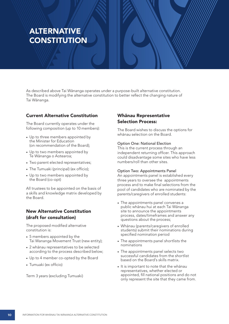## ALTERNATIVE **CONSTITUTION**

As described above Tai Wānanga operates under a purpose-built alternative constitution. The Board is modifying the alternative constitution to better reflect the changing nature of Tai Wānanga.

### Current Alternative Constitution

The Board currently operates under the following composition (up to 10 members):

- Up to three members appointed by the Minister for Education (on recommendation of the Board);
- Up to two members appointed by Te Wānanga o Aotearoa;
- Two parent elected representatives;
- The Tumuaki (principal) (ex officio);
- Up to two members appointed by the Board (co-opt)

All trustees to be appointed on the basis of a skills and knowledge matrix developed by the Board.

## New Alternative Constitution (draft for consultation)

The proposed modified alternative constitution is:

- 5 members appointed by the Tai Wananga Movement Trust (new entity);
- 2 whānau representatives to be selected according to the process described below;
- Up to 4 member co-opted by the Board
- Tumuaki (ex officio)

Term 3 years (excluding Tumuaki)

## Whānau Representative Selection Process:

The Board wishes to discuss the options for whānau selection on the Board.

#### Option One: National Election

This is the current process through an independent returning officer. This approach could disadvantage some sites who have less numbers/roll than other sites.

#### Option Two: Appointments Panel

An appointments panel is established every three years to oversee the appointments process and to make final selections from the pool of candidates who are nominated by the parents/caregivers of enrolled students:

- The appointments panel convenes a public whānau hui at each Tai Wānanga site to announce the appointments process, dates/timeframes and answer any questions about the process;
- Whānau (parents/caregivers of enrolled students) submit their nominations during specified nomination period
- The appointments panel shortlists the nominations
- The appointments panel selects two successful candidates from the shortlist based on the Board's skills matrix.
- It is important to note that the whānau representatives, whether elected or appointed, fill national positions and do not only represent the site that they came from.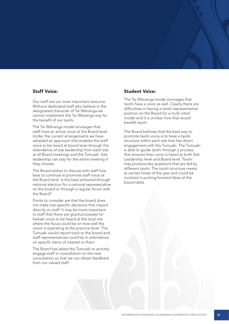#### Staff Voice:

Our staff are our most important resource. Without dedicated staff who believe in the designated character of Tai Wānanga we cannot implement the Tai Wānanga way for the benefit of our taiohi.

The Tai Wānanga model envisages that staff have an active voice at the Board level. Under the current arrangements we have adopted an approach that enables the staff voice to be heard at board level through the attendance of site leadership from each site at all Board meetings and the Tumuaki. Site leadership can stay for the entire meeting if they choose.

The Board wishes to discuss with staff how best to continue to promote staff voice at the Board level. Is this best achieved through national election for a national representative on the board or through a regular forum with the Board?

Points to consider are that the board does not make site-specific decisions that impact directly on staff. It may be more important to staff that there are good processes for kaitiaki voice to be heard at the local site where the focus could be on how well the vision is operating at the practice level. The Tumuaki would report back to the board and staff representatives could be in attendance on specific items of interest to them.

The Board has asked the Tumuaki to actively engage staff in consultation on the new consultation so that we can obtain feedback from our valued staff.

### Student Voice:

The Tai Wānanga model envisages that taiohi have a voice as well. Clearly there are difficulties in having a taiohi representative position on the Board for a multi-sited model and it is unclear how that would benefit taiohi.

The Board believes that the best way to promote taiohi voice is to have a taiohi structure within each site that has direct engagement with the Tumuaki. The Tumuaki is able to guide taiohi through a process that ensures their voice is heard at both Site Leadership level and Board level. Taiohi may produce key questions that are led by different taiohi. The taiohi structure meets at certain times of the year and could be involved in putting forward ideas at the board table.